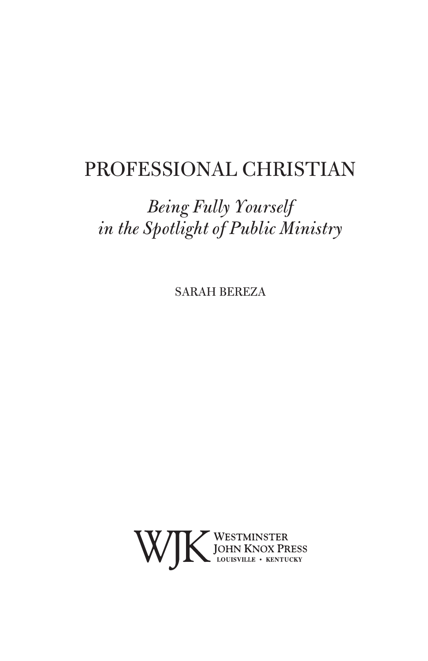## PROFESSIONAL CHRISTIAN

## *Being Fully Yourself in the Spotlight of Public Ministry*

SARAH BEREZA

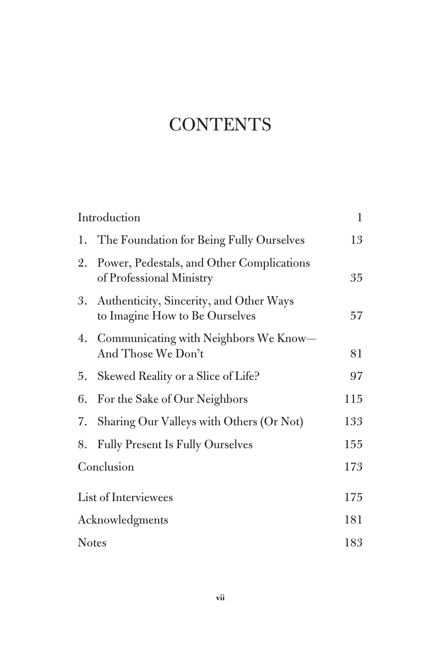# **CONTENTS**

|                      | Introduction                                                                 | $\mathbf{1}$ |
|----------------------|------------------------------------------------------------------------------|--------------|
|                      | 1. The Foundation for Being Fully Ourselves                                  | 13           |
| 2.                   | Power, Pedestals, and Other Complications<br>of Professional Ministry        | 35           |
|                      | 3. Authenticity, Sincerity, and Other Ways<br>to Imagine How to Be Ourselves | 57           |
|                      | 4. Communicating with Neighbors We Know-<br>And Those We Don't               | 81           |
| 5.                   | Skewed Reality or a Slice of Life?                                           | 97           |
| 6.                   | For the Sake of Our Neighbors                                                | 115          |
| 7.                   | Sharing Our Valleys with Others (Or Not)                                     | 133          |
| 8.                   | <b>Fully Present Is Fully Ourselves</b>                                      | 155          |
| Conclusion           |                                                                              | 173          |
| List of Interviewees |                                                                              | 175          |
| Acknowledgments      |                                                                              | 181          |
| <b>Notes</b>         |                                                                              | 183          |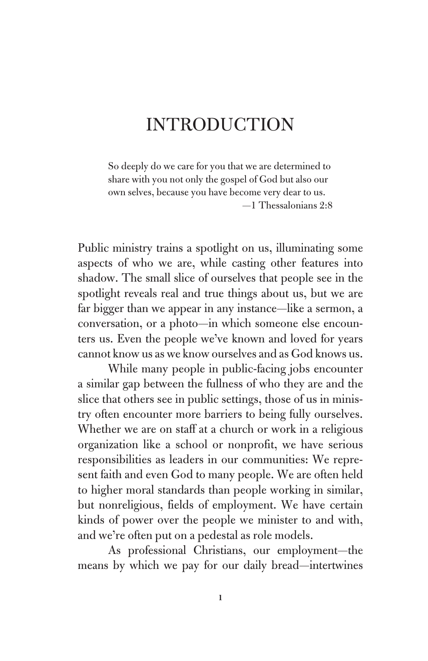### INTRODUCTION

So deeply do we care for you that we are determined to share with you not only the gospel of God but also our own selves, because you have become very dear to us. —1 Thessalonians 2:8

Public ministry trains a spotlight on us, illuminating some aspects of who we are, while casting other features into shadow. The small slice of ourselves that people see in the spotlight reveals real and true things about us, but we are far bigger than we appear in any instance—like a sermon, a conversation, or a photo—in which someone else encounters us. Even the people we've known and loved for years cannot know us as we know ourselves and as God knows us.

While many people in public-facing jobs encounter a similar gap between the fullness of who they are and the slice that others see in public settings, those of us in ministry often encounter more barriers to being fully ourselves. Whether we are on staff at a church or work in a religious organization like a school or nonprofit, we have serious responsibilities as leaders in our communities: We represent faith and even God to many people. We are often held to higher moral standards than people working in similar, but nonreligious, fields of employment. We have certain kinds of power over the people we minister to and with, and we're often put on a pedestal as role models.

As professional Christians, our employment—the means by which we pay for our daily bread—intertwines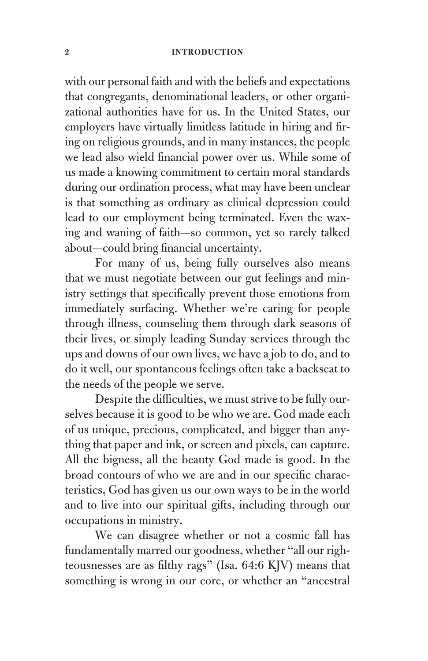with our personal faith and with the beliefs and expectations that congregants, denominational leaders, or other organizational authorities have for us. In the United States, our employers have virtually limitless latitude in hiring and firing on religious grounds, and in many instances, the people we lead also wield financial power over us. While some of us made a knowing commitment to certain moral standards during our ordination process, what may have been unclear is that something as ordinary as clinical depression could lead to our employment being terminated. Even the waxing and waning of faith—so common, yet so rarely talked about—could bring financial uncertainty.

For many of us, being fully ourselves also means that we must negotiate between our gut feelings and ministry settings that specifically prevent those emotions from immediately surfacing. Whether we're caring for people through illness, counseling them through dark seasons of their lives, or simply leading Sunday services through the ups and downs of our own lives, we have a job to do, and to do it well, our spontaneous feelings often take a backseat to the needs of the people we serve.

Despite the difficulties, we must strive to be fully ourselves because it is good to be who we are. God made each of us unique, precious, complicated, and bigger than anything that paper and ink, or screen and pixels, can capture. All the bigness, all the beauty God made is good. In the broad contours of who we are and in our specific characteristics, God has given us our own ways to be in the world and to live into our spiritual gifts, including through our occupations in ministry.

We can disagree whether or not a cosmic fall has fundamentally marred our goodness, whether "all our righteousnesses are as filthy rags" (Isa. 64:6 KJV) means that something is wrong in our core, or whether an "ancestral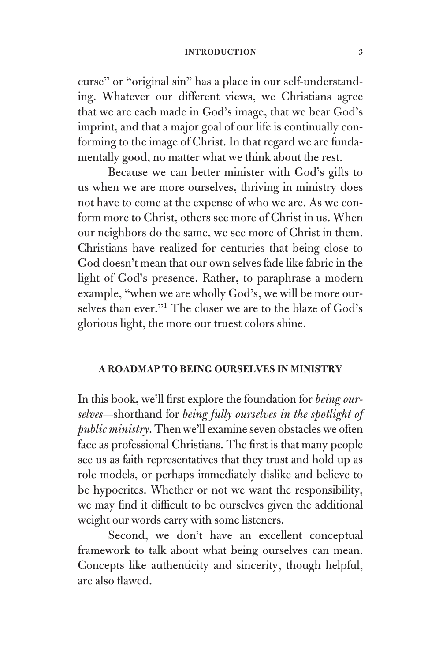curse" or "original sin" has a place in our self-understanding. Whatever our different views, we Christians agree that we are each made in God's image, that we bear God's imprint, and that a major goal of our life is continually conforming to the image of Christ. In that regard we are fundamentally good, no matter what we think about the rest.

Because we can better minister with God's gifts to us when we are more ourselves, thriving in ministry does not have to come at the expense of who we are. As we conform more to Christ, others see more of Christ in us. When our neighbors do the same, we see more of Christ in them. Christians have realized for centuries that being close to God doesn't mean that our own selves fade like fabric in the light of God's presence. Rather, to paraphrase a modern example, "when we are wholly God's, we will be more ourselves than ever."1 The closer we are to the blaze of God's glorious light, the more our truest colors shine.

#### **A ROADMAP TO BEING OURSELVES IN MINISTRY**

In this book, we'll first explore the foundation for *being ourselves*—shorthand for *being fully ourselves in the spotlight of public ministry*. Then we'll examine seven obstacles we often face as professional Christians. The first is that many people see us as faith representatives that they trust and hold up as role models, or perhaps immediately dislike and believe to be hypocrites. Whether or not we want the responsibility, we may find it difficult to be ourselves given the additional weight our words carry with some listeners.

Second, we don't have an excellent conceptual framework to talk about what being ourselves can mean. Concepts like authenticity and sincerity, though helpful, are also flawed.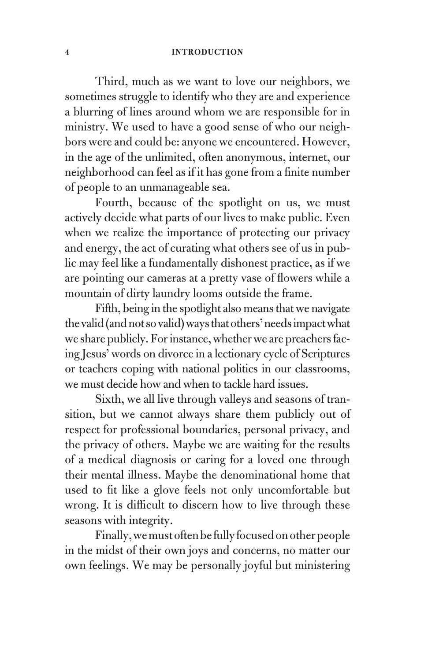Third, much as we want to love our neighbors, we sometimes struggle to identify who they are and experience a blurring of lines around whom we are responsible for in ministry. We used to have a good sense of who our neighbors were and could be: anyone we encountered. However, in the age of the unlimited, often anonymous, internet, our neighborhood can feel as if it has gone from a finite number of people to an unmanageable sea.

Fourth, because of the spotlight on us, we must actively decide what parts of our lives to make public. Even when we realize the importance of protecting our privacy and energy, the act of curating what others see of us in public may feel like a fundamentally dishonest practice, as if we are pointing our cameras at a pretty vase of flowers while a mountain of dirty laundry looms outside the frame.

Fifth, being in the spotlight also means that we navigate the valid (and not so valid) ways that others' needs impact what we share publicly. For instance, whether we are preachers facing Jesus' words on divorce in a lectionary cycle of Scriptures or teachers coping with national politics in our classrooms, we must decide how and when to tackle hard issues.

Sixth, we all live through valleys and seasons of transition, but we cannot always share them publicly out of respect for professional boundaries, personal privacy, and the privacy of others. Maybe we are waiting for the results of a medical diagnosis or caring for a loved one through their mental illness. Maybe the denominational home that used to fit like a glove feels not only uncomfortable but wrong. It is difficult to discern how to live through these seasons with integrity.

Finally, we must often be fully focused on other people in the midst of their own joys and concerns, no matter our own feelings. We may be personally joyful but ministering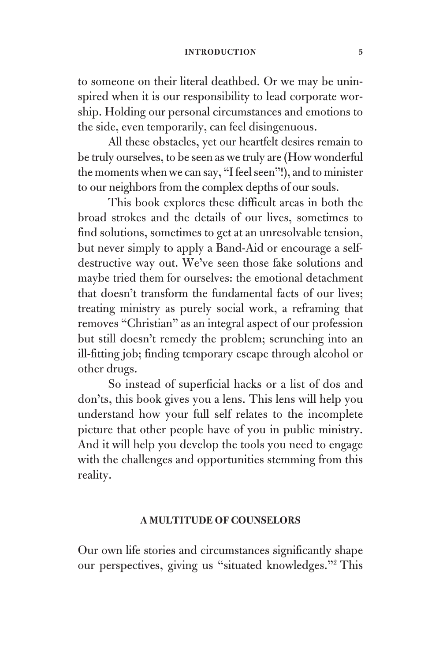to someone on their literal deathbed. Or we may be uninspired when it is our responsibility to lead corporate worship. Holding our personal circumstances and emotions to the side, even temporarily, can feel disingenuous.

All these obstacles, yet our heartfelt desires remain to be truly ourselves, to be seen as we truly are (How wonderful the moments when we can say, "I feel seen"!), and to minister to our neighbors from the complex depths of our souls.

This book explores these difficult areas in both the broad strokes and the details of our lives, sometimes to find solutions, sometimes to get at an unresolvable tension, but never simply to apply a Band-Aid or encourage a selfdestructive way out. We've seen those fake solutions and maybe tried them for ourselves: the emotional detachment that doesn't transform the fundamental facts of our lives; treating ministry as purely social work, a reframing that removes "Christian" as an integral aspect of our profession but still doesn't remedy the problem; scrunching into an ill-fitting job; finding temporary escape through alcohol or other drugs.

So instead of superficial hacks or a list of dos and don'ts, this book gives you a lens. This lens will help you understand how your full self relates to the incomplete picture that other people have of you in public ministry. And it will help you develop the tools you need to engage with the challenges and opportunities stemming from this reality.

#### **A MULTITUDE OF COUNSELORS**

Our own life stories and circumstances significantly shape our perspectives, giving us "situated knowledges."2 This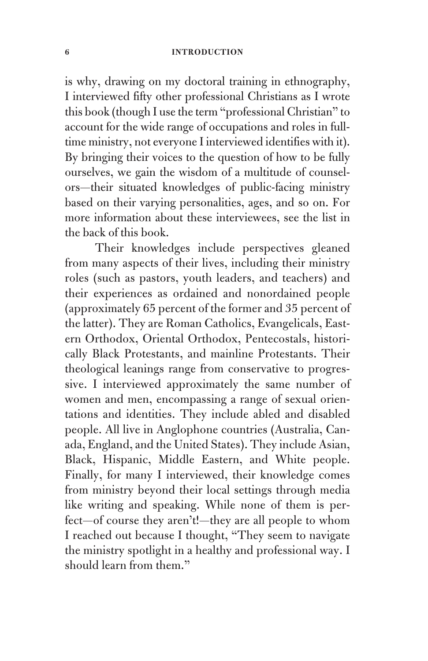is why, drawing on my doctoral training in ethnography, I interviewed fifty other professional Christians as I wrote this book (though I use the term "professional Christian" to account for the wide range of occupations and roles in fulltime ministry, not everyone I interviewed identifies with it). By bringing their voices to the question of how to be fully ourselves, we gain the wisdom of a multitude of counselors—their situated knowledges of public-facing ministry based on their varying personalities, ages, and so on. For more information about these interviewees, see the list in the back of this book.

Their knowledges include perspectives gleaned from many aspects of their lives, including their ministry roles (such as pastors, youth leaders, and teachers) and their experiences as ordained and nonordained people (approximately 65 percent of the former and 35 percent of the latter). They are Roman Catholics, Evangelicals, Eastern Orthodox, Oriental Orthodox, Pentecostals, historically Black Protestants, and mainline Protestants. Their theological leanings range from conservative to progressive. I interviewed approximately the same number of women and men, encompassing a range of sexual orientations and identities. They include abled and disabled people. All live in Anglophone countries (Australia, Canada, England, and the United States). They include Asian, Black, Hispanic, Middle Eastern, and White people. Finally, for many I interviewed, their knowledge comes from ministry beyond their local settings through media like writing and speaking. While none of them is perfect—of course they aren't!—they are all people to whom I reached out because I thought, "They seem to navigate the ministry spotlight in a healthy and professional way. I should learn from them."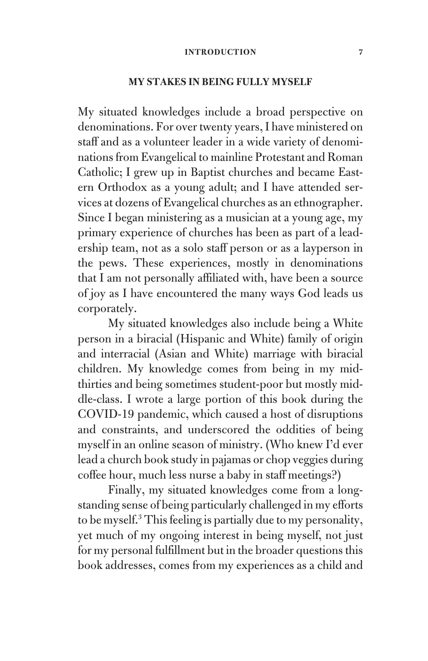#### **MY STAKES IN BEING FULLY MYSELF**

My situated knowledges include a broad perspective on denominations. For over twenty years, I have ministered on staff and as a volunteer leader in a wide variety of denominations from Evangelical to mainline Protestant and Roman Catholic; I grew up in Baptist churches and became Eastern Orthodox as a young adult; and I have attended services at dozens of Evangelical churches as an ethnographer. Since I began ministering as a musician at a young age, my primary experience of churches has been as part of a leadership team, not as a solo staff person or as a layperson in the pews. These experiences, mostly in denominations that I am not personally affiliated with, have been a source of joy as I have encountered the many ways God leads us corporately.

My situated knowledges also include being a White person in a biracial (Hispanic and White) family of origin and interracial (Asian and White) marriage with biracial children. My knowledge comes from being in my midthirties and being sometimes student-poor but mostly middle-class. I wrote a large portion of this book during the COVID-19 pandemic, which caused a host of disruptions and constraints, and underscored the oddities of being myself in an online season of ministry. (Who knew I'd ever lead a church book study in pajamas or chop veggies during coffee hour, much less nurse a baby in staff meetings?)

Finally, my situated knowledges come from a longstanding sense of being particularly challenged in my efforts to be myself.3 This feeling is partially due to my personality, yet much of my ongoing interest in being myself, not just for my personal fulfillment but in the broader questions this book addresses, comes from my experiences as a child and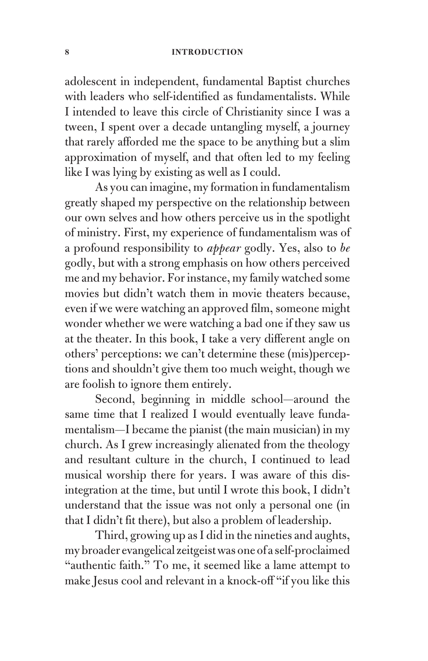adolescent in independent, fundamental Baptist churches with leaders who self-identified as fundamentalists. While I intended to leave this circle of Christianity since I was a tween, I spent over a decade untangling myself, a journey that rarely afforded me the space to be anything but a slim approximation of myself, and that often led to my feeling like I was lying by existing as well as I could.

As you can imagine, my formation in fundamentalism greatly shaped my perspective on the relationship between our own selves and how others perceive us in the spotlight of ministry. First, my experience of fundamentalism was of a profound responsibility to *appear* godly. Yes, also to *be* godly, but with a strong emphasis on how others perceived me and my behavior. For instance, my family watched some movies but didn't watch them in movie theaters because, even if we were watching an approved film, someone might wonder whether we were watching a bad one if they saw us at the theater. In this book, I take a very different angle on others' perceptions: we can't determine these (mis)perceptions and shouldn't give them too much weight, though we are foolish to ignore them entirely.

Second, beginning in middle school—around the same time that I realized I would eventually leave fundamentalism—I became the pianist (the main musician) in my church. As I grew increasingly alienated from the theology and resultant culture in the church, I continued to lead musical worship there for years. I was aware of this disintegration at the time, but until I wrote this book, I didn't understand that the issue was not only a personal one (in that I didn't fit there), but also a problem of leadership.

Third, growing up as I did in the nineties and aughts, my broader evangelical zeitgeist was one of a self-proclaimed "authentic faith." To me, it seemed like a lame attempt to make Jesus cool and relevant in a knock-off "if you like this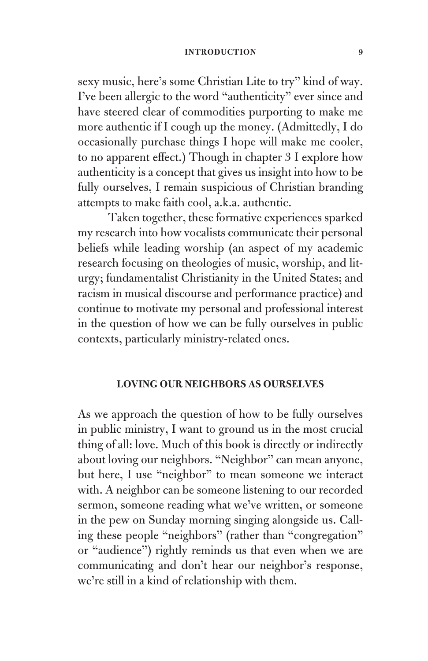#### **INTRODUCTION** 9

sexy music, here's some Christian Lite to try" kind of way. I've been allergic to the word "authenticity" ever since and have steered clear of commodities purporting to make me more authentic if I cough up the money. (Admittedly, I do occasionally purchase things I hope will make me cooler, to no apparent effect.) Though in chapter 3 I explore how authenticity is a concept that gives us insight into how to be fully ourselves, I remain suspicious of Christian branding attempts to make faith cool, a.k.a. authentic.

Taken together, these formative experiences sparked my research into how vocalists communicate their personal beliefs while leading worship (an aspect of my academic research focusing on theologies of music, worship, and liturgy; fundamentalist Christianity in the United States; and racism in musical discourse and performance practice) and continue to motivate my personal and professional interest in the question of how we can be fully ourselves in public contexts, particularly ministry-related ones.

#### **LOVING OUR NEIGHBORS AS OURSELVES**

As we approach the question of how to be fully ourselves in public ministry, I want to ground us in the most crucial thing of all: love. Much of this book is directly or indirectly about loving our neighbors. "Neighbor" can mean anyone, but here, I use "neighbor" to mean someone we interact with. A neighbor can be someone listening to our recorded sermon, someone reading what we've written, or someone in the pew on Sunday morning singing alongside us. Calling these people "neighbors" (rather than "congregation" or "audience") rightly reminds us that even when we are communicating and don't hear our neighbor's response, we're still in a kind of relationship with them.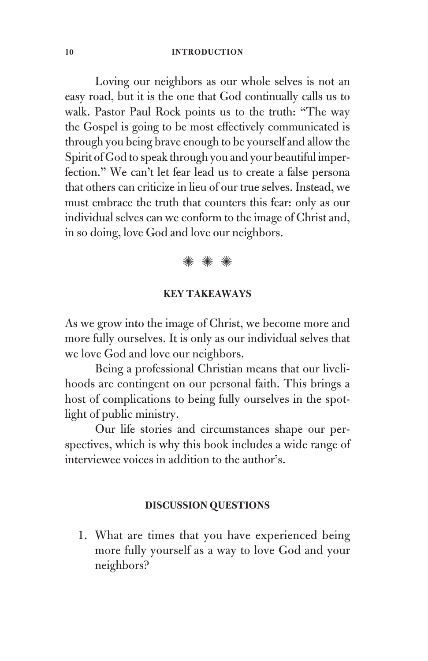Loving our neighbors as our whole selves is not an easy road, but it is the one that God continually calls us to walk. Pastor Paul Rock points us to the truth: "The way the Gospel is going to be most effectively communicated is through you being brave enough to be yourself and allow the Spirit of God to speak through you and your beautiful imperfection." We can't let fear lead us to create a false persona that others can criticize in lieu of our true selves. Instead, we must embrace the truth that counters this fear: only as our individual selves can we conform to the image of Christ and, in so doing, love God and love our neighbors.

### ✺ ✺ ✺

#### **KEY TAKEAWAYS**

As we grow into the image of Christ, we become more and more fully ourselves. It is only as our individual selves that we love God and love our neighbors.

Being a professional Christian means that our livelihoods are contingent on our personal faith. This brings a host of complications to being fully ourselves in the spotlight of public ministry.

Our life stories and circumstances shape our perspectives, which is why this book includes a wide range of interviewee voices in addition to the author's.

#### **DISCUSSION QUESTIONS**

1. What are times that you have experienced being more fully yourself as a way to love God and your neighbors?